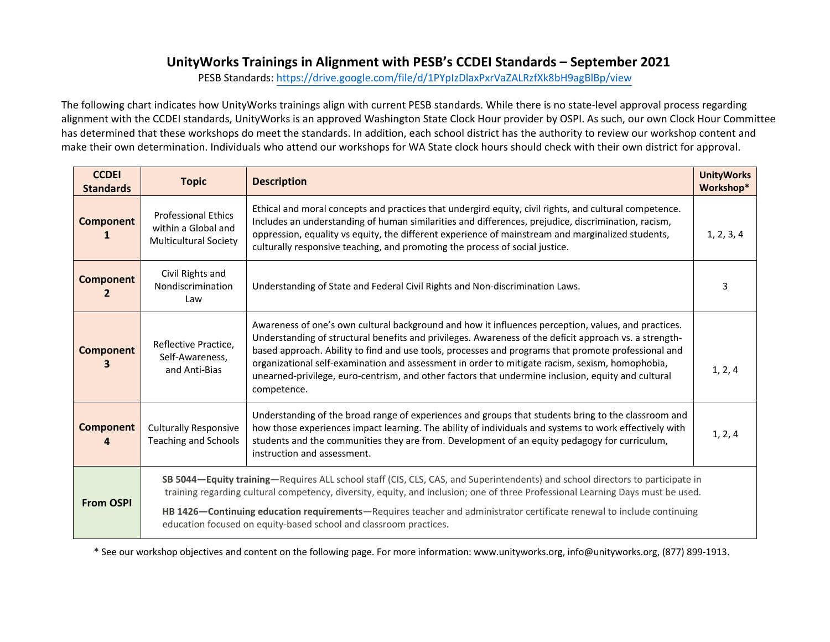# **UnityWorks Trainings in Alignment with PESB's CCDEI Standards – September <sup>2021</sup>**

PESB Standards: <u><https://drive.google.com/file/d/1PYpIzDlaxPxrVaZALRzfXk8bH9agBlBp/view></u>

The following chart indicates how UnityWorks trainings align with current PESB standards. While there is no state-level approval process regarding<br>The following chart indicates how Unity Works trainings align with current alignment with the CCDEI standards, UnityWorks is an approved Washington State Clock Hour provider by OSPI. As such, our own Clock Hour Committee has determined that these workshops do meet the standards. In addition, each school district has the authority to review our workshop content and make their own determination. Individuals who attend our workshops for WA State clock hours should check with their own district for approval.

| <b>CCDEI</b><br><b>Standards</b> | <b>Topic</b>                                                                                                                                                                                                                                                     | <b>Description</b>                                                                                                                                                                                                                                                                                                                                                                                                                                                                                                                           | <b>UnityWorks</b><br>Workshop* |
|----------------------------------|------------------------------------------------------------------------------------------------------------------------------------------------------------------------------------------------------------------------------------------------------------------|----------------------------------------------------------------------------------------------------------------------------------------------------------------------------------------------------------------------------------------------------------------------------------------------------------------------------------------------------------------------------------------------------------------------------------------------------------------------------------------------------------------------------------------------|--------------------------------|
| <b>Component</b>                 | <b>Professional Ethics</b><br>within a Global and<br><b>Multicultural Society</b>                                                                                                                                                                                | Ethical and moral concepts and practices that undergird equity, civil rights, and cultural competence.<br>Includes an understanding of human similarities and differences, prejudice, discrimination, racism,<br>oppression, equality vs equity, the different experience of mainstream and marginalized students,<br>culturally responsive teaching, and promoting the process of social justice.                                                                                                                                           | 1, 2, 3, 4                     |
| <b>Component</b><br>$\mathbf{2}$ | Civil Rights and<br>Nondiscrimination<br>Law                                                                                                                                                                                                                     | Understanding of State and Federal Civil Rights and Non-discrimination Laws.                                                                                                                                                                                                                                                                                                                                                                                                                                                                 | 3                              |
| <b>Component</b>                 | Reflective Practice.<br>Self-Awareness,<br>and Anti-Bias                                                                                                                                                                                                         | Awareness of one's own cultural background and how it influences perception, values, and practices.<br>Understanding of structural benefits and privileges. Awareness of the deficit approach vs. a strength-<br>based approach. Ability to find and use tools, processes and programs that promote professional and<br>organizational self-examination and assessment in order to mitigate racism, sexism, homophobia,<br>unearned-privilege, euro-centrism, and other factors that undermine inclusion, equity and cultural<br>competence. | 1, 2, 4                        |
| <b>Component</b>                 | <b>Culturally Responsive</b><br><b>Teaching and Schools</b>                                                                                                                                                                                                      | Understanding of the broad range of experiences and groups that students bring to the classroom and<br>how those experiences impact learning. The ability of individuals and systems to work effectively with<br>students and the communities they are from. Development of an equity pedagogy for curriculum,<br>instruction and assessment.                                                                                                                                                                                                | 1, 2, 4                        |
| <b>From OSPI</b>                 | SB 5044-Equity training-Requires ALL school staff (CIS, CLS, CAS, and Superintendents) and school directors to participate in<br>training regarding cultural competency, diversity, equity, and inclusion; one of three Professional Learning Days must be used. |                                                                                                                                                                                                                                                                                                                                                                                                                                                                                                                                              |                                |
|                                  | HB 1426-Continuing education requirements-Requires teacher and administrator certificate renewal to include continuing<br>education focused on equity-based school and classroom practices.                                                                      |                                                                                                                                                                                                                                                                                                                                                                                                                                                                                                                                              |                                |

\* See our workshop objectives and content <sup>o</sup><sup>n</sup> the following page. For more information: www.unityworks.org, info@unityworks.org, (877) 899-1913.